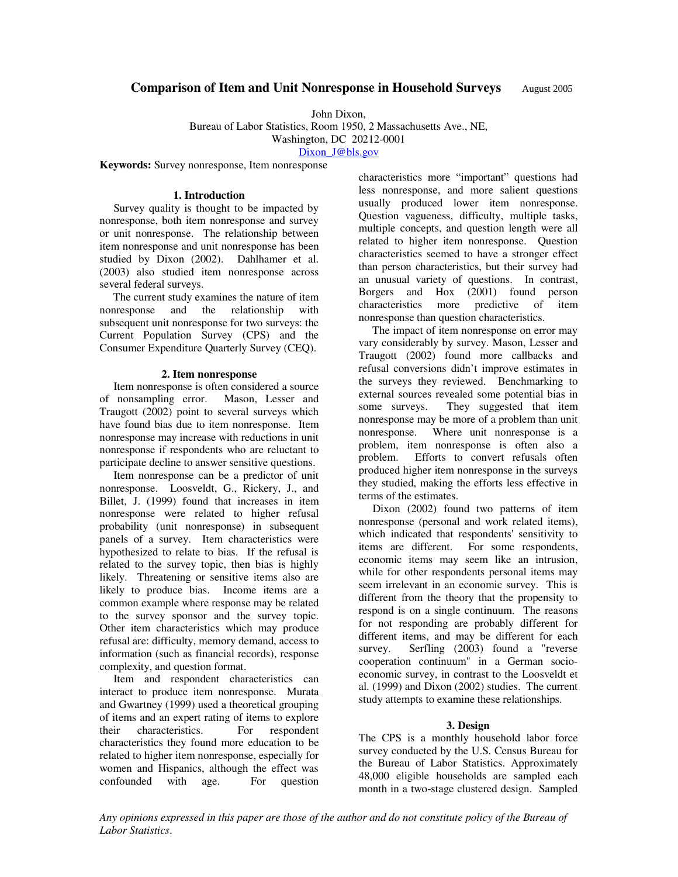# **Comparison of Item and Unit Nonresponse in Household Surveys** August 2005

John Dixon,

Bureau of Labor Statistics, Room 1950, 2 Massachusetts Ave., NE,

Washington, DC 20212-0001

Dixon J@bls.gov

**Keywords:** Survey nonresponse, Item nonresponse

#### **1. Introduction**

 Survey quality is thought to be impacted by nonresponse, both item nonresponse and survey or unit nonresponse. The relationship between item nonresponse and unit nonresponse has been studied by Dixon (2002). Dahlhamer et al. (2003) also studied item nonresponse across several federal surveys.

 The current study examines the nature of item nonresponse and the relationship with subsequent unit nonresponse for two surveys: the Current Population Survey (CPS) and the Consumer Expenditure Quarterly Survey (CEQ).

#### **2. Item nonresponse**

 Item nonresponse is often considered a source of nonsampling error. Mason, Lesser and Traugott (2002) point to several surveys which have found bias due to item nonresponse. Item nonresponse may increase with reductions in unit nonresponse if respondents who are reluctant to participate decline to answer sensitive questions.

 Item nonresponse can be a predictor of unit nonresponse. Loosveldt, G., Rickery, J., and Billet, J. (1999) found that increases in item nonresponse were related to higher refusal probability (unit nonresponse) in subsequent panels of a survey. Item characteristics were hypothesized to relate to bias. If the refusal is related to the survey topic, then bias is highly likely. Threatening or sensitive items also are likely to produce bias. Income items are a common example where response may be related to the survey sponsor and the survey topic. Other item characteristics which may produce refusal are: difficulty, memory demand, access to information (such as financial records), response complexity, and question format.

 Item and respondent characteristics can interact to produce item nonresponse. Murata and Gwartney (1999) used a theoretical grouping of items and an expert rating of items to explore their characteristics. For respondent characteristics they found more education to be related to higher item nonresponse, especially for women and Hispanics, although the effect was confounded with age. For question

characteristics more "important" questions had less nonresponse, and more salient questions usually produced lower item nonresponse. Question vagueness, difficulty, multiple tasks, multiple concepts, and question length were all related to higher item nonresponse. Question characteristics seemed to have a stronger effect than person characteristics, but their survey had an unusual variety of questions. In contrast, Borgers and Hox (2001) found person characteristics more predictive of item nonresponse than question characteristics.

 The impact of item nonresponse on error may vary considerably by survey. Mason, Lesser and Traugott (2002) found more callbacks and refusal conversions didn't improve estimates in the surveys they reviewed. Benchmarking to external sources revealed some potential bias in some surveys. They suggested that item nonresponse may be more of a problem than unit nonresponse. Where unit nonresponse is a problem, item nonresponse is often also a problem. Efforts to convert refusals often produced higher item nonresponse in the surveys they studied, making the efforts less effective in terms of the estimates.

 Dixon (2002) found two patterns of item nonresponse (personal and work related items), which indicated that respondents' sensitivity to items are different. For some respondents, economic items may seem like an intrusion, while for other respondents personal items may seem irrelevant in an economic survey. This is different from the theory that the propensity to respond is on a single continuum. The reasons for not responding are probably different for different items, and may be different for each survey. Serfling (2003) found a "reverse cooperation continuum" in a German socioeconomic survey, in contrast to the Loosveldt et al. (1999) and Dixon (2002) studies. The current study attempts to examine these relationships.

#### **3. Design**

The CPS is a monthly household labor force survey conducted by the U.S. Census Bureau for the Bureau of Labor Statistics. Approximately 48,000 eligible households are sampled each month in a two-stage clustered design. Sampled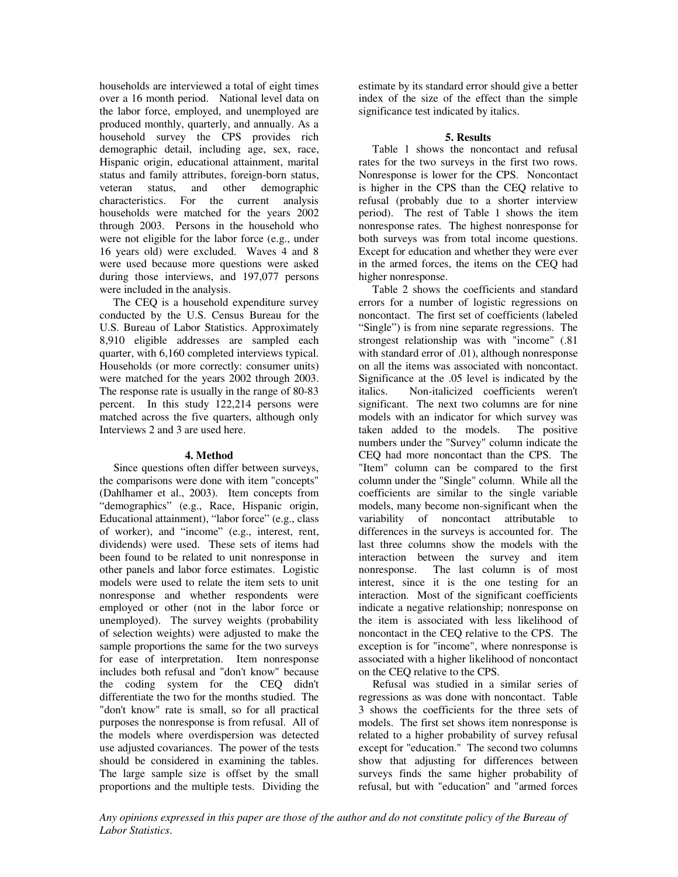households are interviewed a total of eight times over a 16 month period. National level data on the labor force, employed, and unemployed are produced monthly, quarterly, and annually. As a household survey the CPS provides rich demographic detail, including age, sex, race, Hispanic origin, educational attainment, marital status and family attributes, foreign-born status, veteran status, and other demographic characteristics. For the current analysis households were matched for the years 2002 through 2003. Persons in the household who were not eligible for the labor force (e.g., under 16 years old) were excluded. Waves 4 and 8 were used because more questions were asked during those interviews, and 197,077 persons were included in the analysis.

 The CEQ is a household expenditure survey conducted by the U.S. Census Bureau for the U.S. Bureau of Labor Statistics. Approximately 8,910 eligible addresses are sampled each quarter, with 6,160 completed interviews typical. Households (or more correctly: consumer units) were matched for the years 2002 through 2003. The response rate is usually in the range of 80-83 percent. In this study 122,214 persons were matched across the five quarters, although only Interviews 2 and 3 are used here.

## **4. Method**

 Since questions often differ between surveys, the comparisons were done with item "concepts" (Dahlhamer et al., 2003). Item concepts from "demographics" (e.g., Race, Hispanic origin, Educational attainment), "labor force" (e.g., class of worker), and "income" (e.g., interest, rent, dividends) were used. These sets of items had been found to be related to unit nonresponse in other panels and labor force estimates. Logistic models were used to relate the item sets to unit nonresponse and whether respondents were employed or other (not in the labor force or unemployed). The survey weights (probability of selection weights) were adjusted to make the sample proportions the same for the two surveys for ease of interpretation. Item nonresponse includes both refusal and "don't know" because the coding system for the CEQ didn't differentiate the two for the months studied. The "don't know" rate is small, so for all practical purposes the nonresponse is from refusal. All of the models where overdispersion was detected use adjusted covariances. The power of the tests should be considered in examining the tables. The large sample size is offset by the small proportions and the multiple tests. Dividing the

estimate by its standard error should give a better index of the size of the effect than the simple significance test indicated by italics.

## **5. Results**

 Table 1 shows the noncontact and refusal rates for the two surveys in the first two rows. Nonresponse is lower for the CPS. Noncontact is higher in the CPS than the CEQ relative to refusal (probably due to a shorter interview period). The rest of Table 1 shows the item nonresponse rates. The highest nonresponse for both surveys was from total income questions. Except for education and whether they were ever in the armed forces, the items on the CEQ had higher nonresponse.

 Table 2 shows the coefficients and standard errors for a number of logistic regressions on noncontact. The first set of coefficients (labeled "Single") is from nine separate regressions. The strongest relationship was with "income" (.81 with standard error of .01), although nonresponse on all the items was associated with noncontact. Significance at the .05 level is indicated by the italics. Non-italicized coefficients weren't significant. The next two columns are for nine models with an indicator for which survey was taken added to the models. The positive numbers under the "Survey" column indicate the CEQ had more noncontact than the CPS. The "Item" column can be compared to the first column under the "Single" column. While all the coefficients are similar to the single variable models, many become non-significant when the variability of noncontact attributable to differences in the surveys is accounted for. The last three columns show the models with the interaction between the survey and item nonresponse. The last column is of most interest, since it is the one testing for an interaction. Most of the significant coefficients indicate a negative relationship; nonresponse on the item is associated with less likelihood of noncontact in the CEQ relative to the CPS. The exception is for "income", where nonresponse is associated with a higher likelihood of noncontact on the CEQ relative to the CPS.

 Refusal was studied in a similar series of regressions as was done with noncontact. Table 3 shows the coefficients for the three sets of models. The first set shows item nonresponse is related to a higher probability of survey refusal except for "education." The second two columns show that adjusting for differences between surveys finds the same higher probability of refusal, but with "education" and "armed forces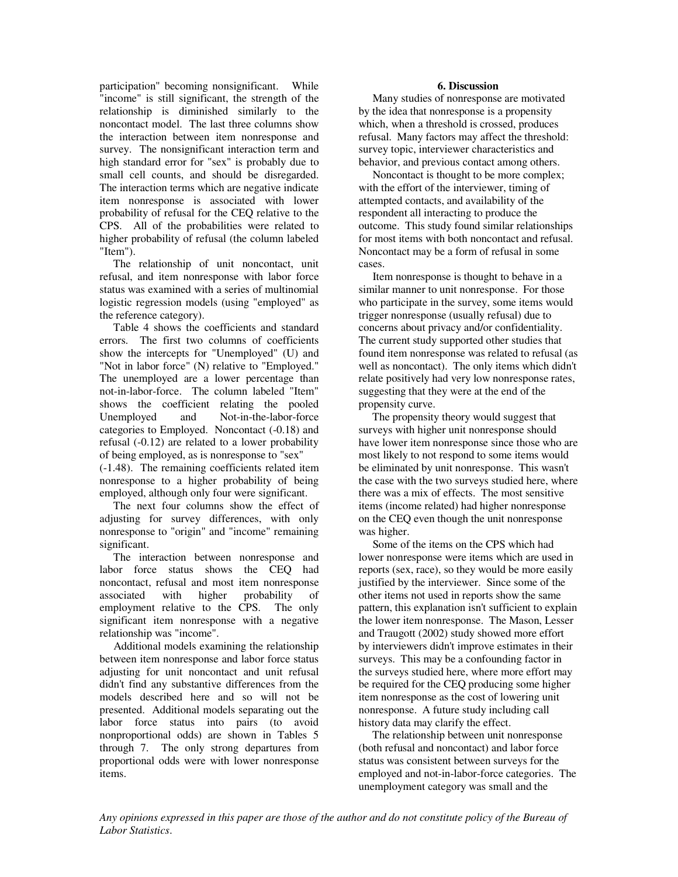participation" becoming nonsignificant. While "income" is still significant, the strength of the relationship is diminished similarly to the noncontact model. The last three columns show the interaction between item nonresponse and survey. The nonsignificant interaction term and high standard error for "sex" is probably due to small cell counts, and should be disregarded. The interaction terms which are negative indicate item nonresponse is associated with lower probability of refusal for the CEQ relative to the CPS. All of the probabilities were related to higher probability of refusal (the column labeled "Item").

 The relationship of unit noncontact, unit refusal, and item nonresponse with labor force status was examined with a series of multinomial logistic regression models (using "employed" as the reference category).

 Table 4 shows the coefficients and standard errors. The first two columns of coefficients show the intercepts for "Unemployed" (U) and "Not in labor force" (N) relative to "Employed." The unemployed are a lower percentage than not-in-labor-force. The column labeled "Item" shows the coefficient relating the pooled Unemployed and Not-in-the-labor-force categories to Employed. Noncontact (-0.18) and refusal (-0.12) are related to a lower probability of being employed, as is nonresponse to "sex"

(-1.48). The remaining coefficients related item nonresponse to a higher probability of being employed, although only four were significant.

 The next four columns show the effect of adjusting for survey differences, with only nonresponse to "origin" and "income" remaining significant.

 The interaction between nonresponse and labor force status shows the CEQ had noncontact, refusal and most item nonresponse associated with higher probability of employment relative to the CPS. The only significant item nonresponse with a negative relationship was "income".

 Additional models examining the relationship between item nonresponse and labor force status adjusting for unit noncontact and unit refusal didn't find any substantive differences from the models described here and so will not be presented. Additional models separating out the labor force status into pairs (to avoid nonproportional odds) are shown in Tables 5 through 7. The only strong departures from proportional odds were with lower nonresponse items.

#### **6. Discussion**

 Many studies of nonresponse are motivated by the idea that nonresponse is a propensity which, when a threshold is crossed, produces refusal. Many factors may affect the threshold: survey topic, interviewer characteristics and behavior, and previous contact among others.

 Noncontact is thought to be more complex; with the effort of the interviewer, timing of attempted contacts, and availability of the respondent all interacting to produce the outcome. This study found similar relationships for most items with both noncontact and refusal. Noncontact may be a form of refusal in some cases.

 Item nonresponse is thought to behave in a similar manner to unit nonresponse. For those who participate in the survey, some items would trigger nonresponse (usually refusal) due to concerns about privacy and/or confidentiality. The current study supported other studies that found item nonresponse was related to refusal (as well as noncontact). The only items which didn't relate positively had very low nonresponse rates, suggesting that they were at the end of the propensity curve.

 The propensity theory would suggest that surveys with higher unit nonresponse should have lower item nonresponse since those who are most likely to not respond to some items would be eliminated by unit nonresponse. This wasn't the case with the two surveys studied here, where there was a mix of effects. The most sensitive items (income related) had higher nonresponse on the CEQ even though the unit nonresponse was higher.

 Some of the items on the CPS which had lower nonresponse were items which are used in reports (sex, race), so they would be more easily justified by the interviewer. Since some of the other items not used in reports show the same pattern, this explanation isn't sufficient to explain the lower item nonresponse. The Mason, Lesser and Traugott (2002) study showed more effort by interviewers didn't improve estimates in their surveys. This may be a confounding factor in the surveys studied here, where more effort may be required for the CEQ producing some higher item nonresponse as the cost of lowering unit nonresponse. A future study including call history data may clarify the effect.

 The relationship between unit nonresponse (both refusal and noncontact) and labor force status was consistent between surveys for the employed and not-in-labor-force categories. The unemployment category was small and the

*Any opinions expressed in this paper are those of the author and do not constitute policy of the Bureau of Labor Statistics*.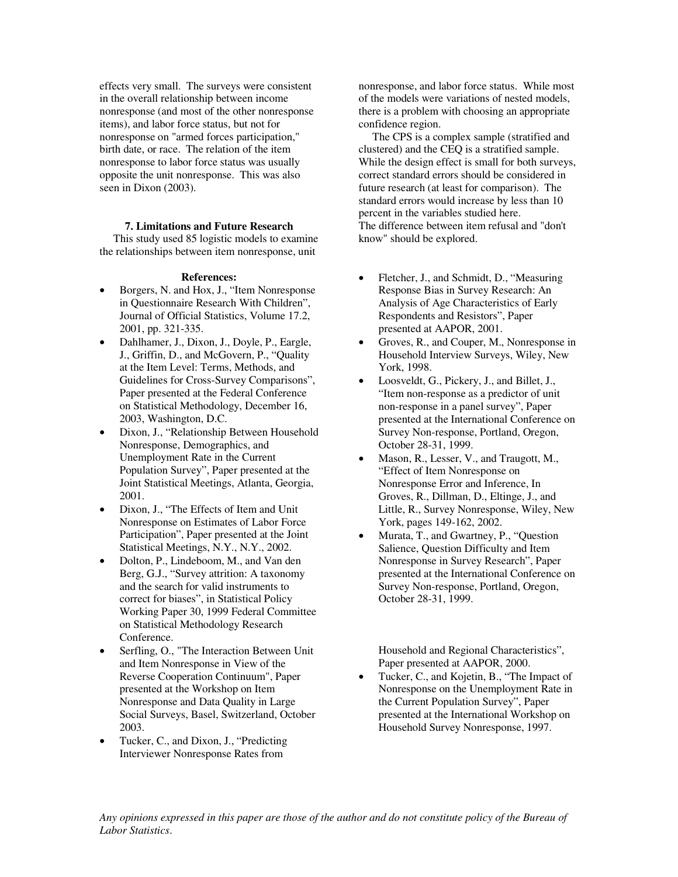effects very small. The surveys were consistent in the overall relationship between income nonresponse (and most of the other nonresponse items), and labor force status, but not for nonresponse on "armed forces participation," birth date, or race. The relation of the item nonresponse to labor force status was usually opposite the unit nonresponse. This was also seen in Dixon (2003).

### **7. Limitations and Future Research**

 This study used 85 logistic models to examine the relationships between item nonresponse, unit

#### **References:**

- Borgers, N. and Hox, J., "Item Nonresponse in Questionnaire Research With Children", Journal of Official Statistics, Volume 17.2, 2001, pp. 321-335.
- Dahlhamer, J., Dixon, J., Doyle, P., Eargle, J., Griffin, D., and McGovern, P., "Quality at the Item Level: Terms, Methods, and Guidelines for Cross-Survey Comparisons", Paper presented at the Federal Conference on Statistical Methodology, December 16, 2003, Washington, D.C.
- Dixon, J., "Relationship Between Household Nonresponse, Demographics, and Unemployment Rate in the Current Population Survey", Paper presented at the Joint Statistical Meetings, Atlanta, Georgia, 2001.
- Dixon, J., "The Effects of Item and Unit Nonresponse on Estimates of Labor Force Participation", Paper presented at the Joint Statistical Meetings, N.Y., N.Y., 2002.
- Dolton, P., Lindeboom, M., and Van den Berg, G.J., "Survey attrition: A taxonomy and the search for valid instruments to correct for biases", in Statistical Policy Working Paper 30, 1999 Federal Committee on Statistical Methodology Research Conference.
- Serfling, O., "The Interaction Between Unit and Item Nonresponse in View of the Reverse Cooperation Continuum", Paper presented at the Workshop on Item Nonresponse and Data Quality in Large Social Surveys, Basel, Switzerland, October 2003.
- Tucker, C., and Dixon, J., "Predicting Interviewer Nonresponse Rates from

nonresponse, and labor force status. While most of the models were variations of nested models, there is a problem with choosing an appropriate confidence region.

 The CPS is a complex sample (stratified and clustered) and the CEQ is a stratified sample. While the design effect is small for both surveys, correct standard errors should be considered in future research (at least for comparison). The standard errors would increase by less than 10 percent in the variables studied here. The difference between item refusal and "don't know" should be explored.

- Fletcher, J., and Schmidt, D., "Measuring Response Bias in Survey Research: An Analysis of Age Characteristics of Early Respondents and Resistors", Paper presented at AAPOR, 2001.
- Groves, R., and Couper, M., Nonresponse in Household Interview Surveys, Wiley, New York, 1998.
- Loosveldt, G., Pickery, J., and Billet, J., "Item non-response as a predictor of unit non-response in a panel survey", Paper presented at the International Conference on Survey Non-response, Portland, Oregon, October 28-31, 1999.
- Mason, R., Lesser, V., and Traugott, M., "Effect of Item Nonresponse on Nonresponse Error and Inference, In Groves, R., Dillman, D., Eltinge, J., and Little, R., Survey Nonresponse, Wiley, New York, pages 149-162, 2002.
- Murata, T., and Gwartney, P., "Question Salience, Question Difficulty and Item Nonresponse in Survey Research", Paper presented at the International Conference on Survey Non-response, Portland, Oregon, October 28-31, 1999.

Household and Regional Characteristics", Paper presented at AAPOR, 2000.

• Tucker, C., and Kojetin, B., "The Impact of Nonresponse on the Unemployment Rate in the Current Population Survey", Paper presented at the International Workshop on Household Survey Nonresponse, 1997.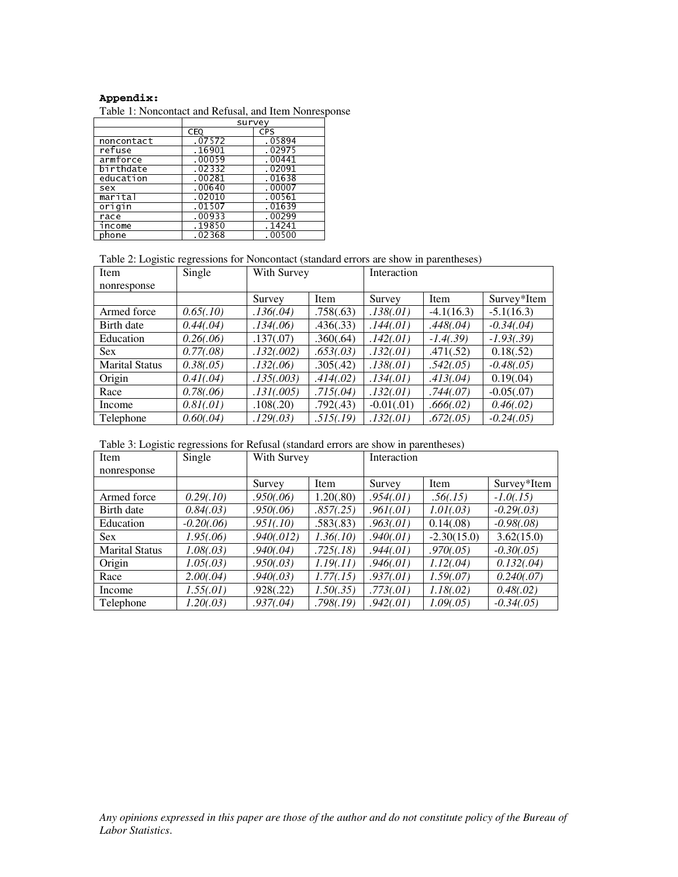# **Appendix:**

Table 1: Noncontact and Refusal, and Item Nonresponse

|            |        | survey     |
|------------|--------|------------|
|            | CEQ    | <b>CPS</b> |
| noncontact | .07572 | .05894     |
| re fuse.   | 16901  | .02975     |
| armforce   | .00059 | .00441     |
| birthdate  | 02332  | .02091     |
| education  | .00281 | .01638     |
| sex        | .00640 | .00007     |
| marital    | .02010 | .00561     |
| origin     | .01507 | .01639     |
| race       | 00933  | .00299     |
| income     | 19850  | 14241      |
| phone      | 02368  | .00500     |

## Table 2: Logistic regressions for Noncontact (standard errors are show in parentheses)

| Item                  | Single     | With Survey |           | Interaction  |              |               |  |
|-----------------------|------------|-------------|-----------|--------------|--------------|---------------|--|
| nonresponse           |            |             |           |              |              |               |  |
|                       |            | Survey      | Item      | Survey       | Item         | Survey*Item   |  |
| Armed force           | 0.65(.10)  | .136(.04)   | .758(.63) | .138(.01)    | $-4.1(16.3)$ | $-5.1(16.3)$  |  |
| Birth date            | 0.44(.04)  | .134(.06)   | .436(.33) | .144(.01)    | .448(.04)    | $-0.34(0.04)$ |  |
| Education             | 0.26(.06)  | .137(.07)   | .360(.64) | .142(.01)    | $-1.4(.39)$  | $-1.93(.39)$  |  |
| <b>Sex</b>            | 0.77(.08)  | .132(.002)  | .653(.03) | .132(.01)    | .471(.52)    | 0.18(.52)     |  |
| <b>Marital Status</b> | 0.38(.05)  | .132(.06)   | .305(.42) | .138(.01)    | .542(.05)    | $-0.48(.05)$  |  |
| Origin                | 0.41(.04)  | .135(.003)  | .414(.02) | .134(.01)    | .413(.04)    | 0.19(.04)     |  |
| Race                  | 0.78(.06)  | .131(.005)  | .715(.04) | .132(.01)    | .744(.07)    | $-0.05(.07)$  |  |
| Income                | 0.81(0.01) | .108(.20)   | .792(.43) | $-0.01(.01)$ | .666(.02)    | 0.46(.02)     |  |
| Telephone             | 0.60(.04)  | .129(.03)   | .515(.19) | .132(.01)    | .672(.05)    | $-0.24(.05)$  |  |

| Table 3: Logistic regressions for Refusal (standard errors are show in parentheses) |  |  |
|-------------------------------------------------------------------------------------|--|--|
|-------------------------------------------------------------------------------------|--|--|

| noncontact                                                                                                                   | CEQ<br>.07572              | CPS<br>.05894              |                        |                           |                            |                              |
|------------------------------------------------------------------------------------------------------------------------------|----------------------------|----------------------------|------------------------|---------------------------|----------------------------|------------------------------|
| refuse<br>armforce                                                                                                           | .16901<br>.00059           | $-02975$<br>.00441         |                        |                           |                            |                              |
| birthdate<br>education<br>sex                                                                                                | .02332<br>.00281<br>.00640 | .02091<br>.01638<br>.00007 |                        |                           |                            |                              |
| marital<br>origin<br>race                                                                                                    | .02010<br>.01507<br>.00933 | .00561<br>.01639<br>.00299 |                        |                           |                            |                              |
| income<br>phone                                                                                                              | .19850<br>.02368           | .14241<br>.00500           |                        |                           |                            |                              |
| Table 2: Logistic regressions for Noncontact (standard errors are show in parentheses)                                       |                            |                            |                        |                           |                            |                              |
| Item<br>nonresponse                                                                                                          | Single                     | With Survey                |                        | Interaction               |                            |                              |
| Armed force                                                                                                                  | 0.65(.10)                  | Survey<br>.136(.04)        | Item<br>.758(.63)      | Survey<br>.138(.01)       | Item<br>$-4.1(16.3)$       | Survey*Item<br>$-5.1(16.3)$  |
| Birth date<br>Education                                                                                                      | 0.44(.04)<br>0.26(.06)     | .134(.06)<br>.137(.07)     | .436(.33)<br>.360(.64) | .144(.01)<br>.142(.01)    | .448(.04)<br>$-1.4(.39)$   | $-0.34(.04)$<br>$-1.93(.39)$ |
| Sex<br><b>Marital Status</b>                                                                                                 | 0.77(.08)<br>0.38(.05)     | .132(.002)<br>.132(.06)    | .653(.03)<br>.305(.42) | .132(.01)<br>.138(.01)    | .471(.52)<br>.542(.05)     | 0.18(.52)<br>$-0.48(.05)$    |
| Origin<br>Race                                                                                                               | 0.41(.04)<br>0.78(.06)     | .135(.003)<br>.131(.005)   | .414(.02)<br>.715(.04) | .134(.01)<br>.132(.01)    | .413(.04)<br>.744(.07)     | 0.19(.04)<br>$-0.05(.07)$    |
| Income<br>Telephone                                                                                                          | 0.81(.01)<br>0.60(.04)     | .108(.20)<br>.129(.03)     | .792(.43)<br>.515(.19) | $-0.01(.01)$<br>.132(.01) | .666(.02)<br>.672(.05)     | 0.46(.02)<br>$-0.24(.05)$    |
| Table 3: Logistic regressions for Refusal (standard errors are show in parentheses)                                          |                            |                            |                        |                           |                            |                              |
| Item                                                                                                                         | Single                     | With Survey                |                        | Interaction               |                            |                              |
| nonresponse                                                                                                                  |                            | Survey                     | Item                   | Survey                    | Item                       | Survey*Item                  |
| Armed force<br>Birth date                                                                                                    | 0.29(.10)<br>0.84(.03)     | .950(.06)<br>.950(.06)     | 1.20(.80)<br>.857(.25) | .954(.01)<br>.961(.01)    | .56(.15)<br>1.01(.03)      | $-1.0(0.15)$<br>$-0.29(.03)$ |
| Education<br>Sex                                                                                                             | $-0.20(.06)$<br>1.95(.06)  | .951(.10)<br>.940(.012)    | .583(.83)<br>1.36(.10) | .963(.01)<br>.940(.01)    | 0.14(.08)<br>$-2.30(15.0)$ | $-0.98(.08)$<br>3.62(15.0)   |
| <b>Marital Status</b><br>Origin                                                                                              | 1.08(.03)<br>1.05(.03)     | .940(.04)<br>.950(.03)     | .725(.18)<br>1.19(.11) | .944(.01)<br>.946(.01)    | .970(.05)<br>1.12(.04)     | $-0.30(.05)$<br>0.132(.04)   |
| Race<br>Income                                                                                                               | 2.00(.04)<br>1.55(.01)     | .940(.03)<br>.928(.22)     | 1.77(.15)<br>1.50(.35) | .937(.01)<br>.773(.01)    | 1.59(.07)<br>1.18(.02)     | 0.240(.07)<br>0.48(.02)      |
| Telephone                                                                                                                    | 1.20(.03)                  | .937(.04)                  | .798(.19)              | .942(.01)                 | 1.09(.05)                  | $-0.34(.05)$                 |
| Any opinions expressed in this paper are those of the author and do not constitute policy of the Bureau<br>Labor Statistics. |                            |                            |                        |                           |                            |                              |
|                                                                                                                              |                            |                            |                        |                           |                            |                              |
|                                                                                                                              |                            |                            |                        |                           |                            |                              |
|                                                                                                                              |                            |                            |                        |                           |                            |                              |
|                                                                                                                              |                            |                            |                        |                           |                            |                              |
|                                                                                                                              |                            |                            |                        |                           |                            |                              |
|                                                                                                                              |                            |                            |                        |                           |                            |                              |
|                                                                                                                              |                            |                            |                        |                           |                            |                              |
|                                                                                                                              |                            |                            |                        |                           |                            |                              |
|                                                                                                                              |                            |                            |                        |                           |                            |                              |
|                                                                                                                              |                            |                            |                        |                           |                            |                              |
|                                                                                                                              |                            |                            |                        |                           |                            |                              |
|                                                                                                                              |                            |                            |                        |                           |                            |                              |
|                                                                                                                              |                            |                            |                        |                           |                            |                              |
|                                                                                                                              |                            |                            |                        |                           |                            |                              |
|                                                                                                                              |                            |                            |                        |                           |                            |                              |
|                                                                                                                              |                            |                            |                        |                           |                            |                              |
|                                                                                                                              |                            |                            |                        |                           |                            |                              |
|                                                                                                                              |                            |                            |                        |                           |                            |                              |
|                                                                                                                              |                            |                            |                        |                           |                            |                              |
|                                                                                                                              |                            |                            |                        |                           |                            |                              |
|                                                                                                                              |                            |                            |                        |                           |                            |                              |
|                                                                                                                              |                            |                            |                        |                           |                            |                              |
|                                                                                                                              |                            |                            |                        |                           |                            |                              |
|                                                                                                                              |                            |                            |                        |                           |                            |                              |
|                                                                                                                              |                            |                            |                        |                           |                            |                              |
|                                                                                                                              |                            |                            |                        |                           |                            |                              |
|                                                                                                                              |                            |                            |                        |                           |                            |                              |
|                                                                                                                              |                            |                            |                        |                           |                            |                              |
|                                                                                                                              |                            |                            |                        |                           |                            |                              |
|                                                                                                                              |                            |                            |                        |                           |                            |                              |
|                                                                                                                              |                            |                            |                        |                           |                            |                              |
|                                                                                                                              |                            |                            |                        |                           |                            |                              |
|                                                                                                                              |                            |                            |                        |                           |                            |                              |
|                                                                                                                              |                            |                            |                        |                           |                            |                              |
|                                                                                                                              |                            |                            |                        |                           |                            |                              |
|                                                                                                                              |                            |                            |                        |                           |                            |                              |
|                                                                                                                              |                            |                            |                        |                           |                            |                              |
|                                                                                                                              |                            |                            |                        |                           |                            |                              |
|                                                                                                                              |                            |                            |                        |                           |                            |                              |
|                                                                                                                              |                            |                            |                        |                           |                            |                              |
|                                                                                                                              |                            |                            |                        |                           |                            |                              |
|                                                                                                                              |                            |                            |                        |                           |                            |                              |
|                                                                                                                              |                            |                            |                        |                           |                            |                              |
|                                                                                                                              |                            |                            |                        |                           |                            |                              |
|                                                                                                                              |                            |                            |                        |                           |                            |                              |
|                                                                                                                              |                            |                            |                        |                           |                            |                              |
|                                                                                                                              |                            |                            |                        |                           |                            |                              |
|                                                                                                                              |                            |                            |                        |                           |                            |                              |
|                                                                                                                              |                            |                            |                        |                           |                            |                              |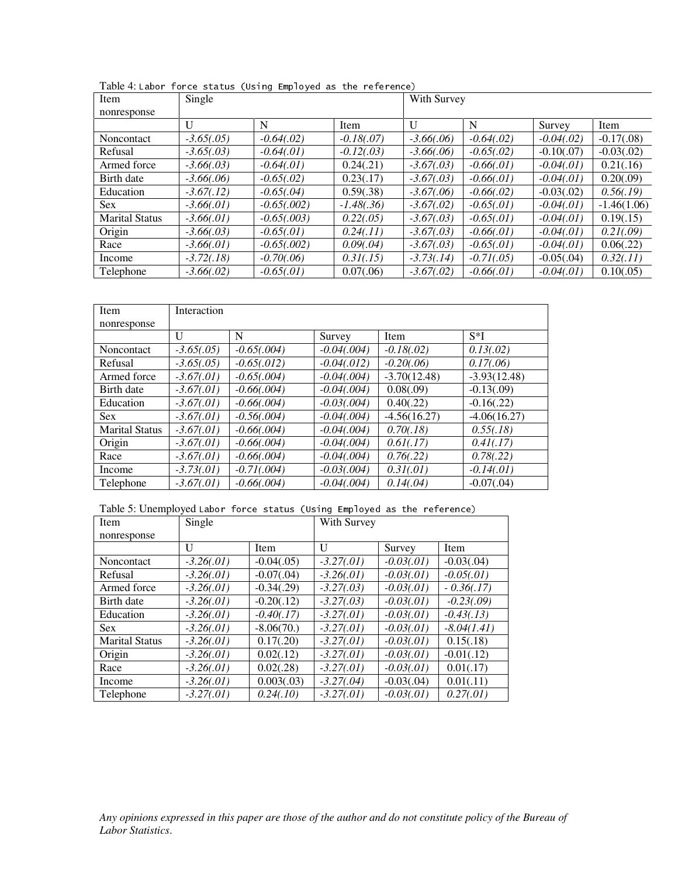| Item<br>nonresponse   | Single        |                |               |               | With Survey   |               |               |  |  |
|-----------------------|---------------|----------------|---------------|---------------|---------------|---------------|---------------|--|--|
|                       | U             | N              | Item          | $\mathbf{U}$  | N             | Survey        | Item          |  |  |
| Noncontact            | $-3.65(.05)$  | $-0.64(0.02)$  | $-0.18(0.07)$ | $-3.66(.06)$  | $-0.64(.02)$  | $-0.04(0.02)$ | $-0.17(.08)$  |  |  |
| Refusal               | $-3.65(.03)$  | $-0.64(01)$    | $-0.12(0.03)$ | $-3.66(0.06)$ | $-0.65(.02)$  | $-0.10(.07)$  | $-0.03(.02)$  |  |  |
| Armed force           | $-3.66(.03)$  | $-0.64(01)$    | 0.24(0.21)    | $-3.67(.03)$  | $-0.66(.01)$  | $-0.04(01)$   | 0.21(.16)     |  |  |
| Birth date            | $-3.66(.06)$  | $-0.65(.02)$   | 0.23(.17)     | $-3.67(.03)$  | $-0.66(.01)$  | $-0.04(.01)$  | 0.20(.09)     |  |  |
| Education             | $-3.67(0.12)$ | $-0.65(.04)$   | 0.59(.38)     | $-3.67(.06)$  | $-0.66(0.02)$ | $-0.03(.02)$  | 0.56(0.19)    |  |  |
| <b>Sex</b>            | $-3.66(.01)$  | $-0.65(.002)$  | $-1.48(.36)$  | $-3.67(.02)$  | $-0.65(.01)$  | $-0.04(.01)$  | $-1.46(1.06)$ |  |  |
| <b>Marital Status</b> | $-3.66(01)$   | $-0.65(0.003)$ | 0.22(0.05)    | $-3.67(.03)$  | $-0.65(.01)$  | $-0.04(01)$   | 0.19(.15)     |  |  |
| Origin                | $-3.66(.03)$  | $-0.65(.01)$   | 0.24(.11)     | $-3.67(0.03)$ | $-0.66(.01)$  | $-0.04(01)$   | 0.21(0.09)    |  |  |
| Race                  | $-3.66(.01)$  | $-0.65(.002)$  | 0.09(.04)     | $-3.67(.03)$  | $-0.65(.01)$  | $-0.04(.01)$  | 0.06(.22)     |  |  |
| Income                | $-3.72(0.18)$ | $-0.70(0.06)$  | 0.31(.15)     | $-3.73(0.14)$ | $-0.71(0.05)$ | $-0.05(.04)$  | 0.32(.11)     |  |  |
| Telephone             | $-3.66(.02)$  | $-0.65(.01)$   | 0.07(.06)     | $-3.67(.02)$  | $-0.66(.01)$  | $-0.04(01)$   | 0.10(.05)     |  |  |

| Item                                                                                                                       | Single                       |                                                                          |                                |                                | With Survey                  |                              |             |
|----------------------------------------------------------------------------------------------------------------------------|------------------------------|--------------------------------------------------------------------------|--------------------------------|--------------------------------|------------------------------|------------------------------|-------------|
| nonresponse                                                                                                                | U                            | N                                                                        | Item                           | U                              |                              | $\mathbf N$                  | S           |
| Noncontact<br>Refusal                                                                                                      | $-3.65(.05)$                 | $-0.64(.02)$                                                             | $-0.18(.07)$                   |                                | $-3.66(.06)$                 | $-0.64(.02)$                 | $-$ (       |
| Armed force                                                                                                                | $-3.65(.03)$<br>$-3.66(.03)$ | $-0.64(.01)$<br>$-0.64(.01)$                                             | $-0.12(.03)$<br>0.24(.21)      |                                | $-3.66(.06)$<br>$-3.67(.03)$ | $-0.65(.02)$<br>$-0.66(.01)$ | $-$<br>$-$  |
| Birth date<br>Education                                                                                                    | $-3.66(.06)$<br>$-3.67(.12)$ | $-0.65(.02)$<br>$-0.65(.04)$                                             | 0.23(.17)<br>0.59(.38)         |                                | $-3.67(.03)$<br>$-3.67(.06)$ | $-0.66(.01)$<br>$-0.66(.02)$ | $-$<br>$ ($ |
| <b>Sex</b>                                                                                                                 | $-3.66(.01)$                 | $-0.65(.002)$                                                            | $-1.48(.36)$                   |                                | $-3.67(.02)$                 | $-0.65(.01)$                 | $-$         |
| <b>Marital Status</b><br>Origin                                                                                            | $-3.66(.01)$<br>$-3.66(.03)$ | $-0.65(.003)$<br>$-0.65(.01)$                                            | 0.22(.05)<br>0.24(.11)         |                                | $-3.67(.03)$<br>$-3.67(.03)$ | $-0.65(.01)$<br>$-0.66(.01)$ | $-$<br>$-$  |
| Race                                                                                                                       | $-3.66(.01)$                 | $-0.65(.002)$                                                            | 0.09(.04)                      |                                | $-3.67(.03)$                 | $-0.65(.01)$                 | $-$ (       |
| Income<br>Telephone                                                                                                        | $-3.72(.18)$<br>$-3.66(.02)$ | $-0.70(.06)$<br>$-0.65(.01)$                                             | 0.31(.15)<br>0.07(.06)         |                                | $-3.73(.14)$<br>$-3.67(.02)$ | $-0.71(.05)$<br>$-0.66(.01)$ | $ ($<br>$-$ |
|                                                                                                                            |                              |                                                                          |                                |                                |                              |                              |             |
| Item                                                                                                                       | Interaction                  |                                                                          |                                |                                |                              |                              |             |
| nonresponse                                                                                                                | U                            | $\mathbf N$                                                              | Survey                         | Item                           |                              | $S^*I$                       |             |
| Noncontact                                                                                                                 | $-3.65(.05)$                 | $-0.65(.004)$                                                            | $-0.04(.004)$                  | $-0.18(.02)$                   |                              | 0.13(.02)                    |             |
| Refusal<br>Armed force                                                                                                     | $-3.65(.05)$<br>$-3.67(.01)$ | $-0.65(.012)$<br>$-0.65(.004)$                                           | $-0.04(.012)$<br>$-0.04(.004)$ | $-0.20(.06)$<br>$-3.70(12.48)$ |                              | 0.17(.06)<br>$-3.93(12.48)$  |             |
| Birth date<br>Education                                                                                                    | $-3.67(.01)$<br>$-3.67(.01)$ | $-0.66(.004)$<br>$-0.66(.004)$                                           | $-0.04(.004)$<br>$-0.03(.004)$ | 0.08(.09)<br>0.40(.22)         |                              | $-0.13(.09)$<br>$-0.16(.22)$ |             |
| Sex                                                                                                                        | $-3.67(.01)$                 | $-0.56(.004)$                                                            | $-0.04(.004)$                  | $-4.56(16.27)$                 |                              | $-4.06(16.27)$               |             |
| <b>Marital Status</b><br>Origin                                                                                            | $-3.67(.01)$<br>$-3.67(.01)$ | $-0.66(.004)$<br>$-0.66(.004)$                                           | $-0.04(.004)$<br>$-0.04(.004)$ | 0.70(.18)<br>0.61(.17)         |                              | 0.55(.18)<br>0.41(.17)       |             |
| Race                                                                                                                       | $-3.67(.01)$                 | $-0.66(.004)$                                                            | $-0.04(.004)$                  | 0.76(.22)                      |                              | 0.78(.22)                    |             |
| Income<br>Telephone                                                                                                        | $-3.73(01)$<br>$-3.67(.01)$  | $-0.71(0.004)$<br>$-0.66(.004)$                                          | $-0.03(.004)$<br>$-0.04(.004)$ | 0.31(.01)<br>0.14(.04)         |                              | $-0.14(.01)$<br>$-0.07(.04)$ |             |
|                                                                                                                            |                              | Table 5: Unemployed Labor force status (Using Employed as the reference) |                                |                                |                              |                              |             |
| Item                                                                                                                       | Single                       |                                                                          | With Survey                    |                                |                              |                              |             |
| nonresponse                                                                                                                | $\mathbf{U}$                 | Item                                                                     | $\mathbf U$                    | Survey                         | Item                         |                              |             |
| Noncontact                                                                                                                 | $-3.26(.01)$                 | $-0.04(.05)$                                                             | $-3.27(.01)$                   | $-0.03(.01)$                   |                              | $-0.03(.04)$                 |             |
| Refusal<br>Armed force                                                                                                     | $-3.26(.01)$<br>$-3.26(.01)$ | $-0.07(.04)$<br>$-0.34(.29)$                                             | $-3.26(.01)$<br>$-3.27(.03)$   | $-0.03(.01)$<br>$-0.03(.01)$   |                              | $-0.05(.01)$<br>$-0.36(.17)$ |             |
| Birth date<br>Education                                                                                                    | $-3.26(.01)$<br>$-3.26(.01)$ | $-0.20(.12)$<br>$-0.40(0.17)$                                            | $-3.27(.03)$<br>$-3.27(.01)$   | $-0.03(.01)$<br>$-0.03(.01)$   |                              | $-0.23(.09)$<br>$-0.43(.13)$ |             |
| Sex                                                                                                                        | $-3.26(.01)$                 | $-8.06(70.)$                                                             | $-3.27(.01)$                   | $-0.03(.01)$                   |                              | $-8.04(1.41)$                |             |
| <b>Marital Status</b><br>Origin                                                                                            | $-3.26(.01)$<br>$-3.26(.01)$ | 0.17(.20)<br>0.02(.12)                                                   | $-3.27(.01)$<br>$-3.27(.01)$   | $-0.03(.01)$<br>$-0.03(.01)$   |                              | 0.15(.18)<br>$-0.01(.12)$    |             |
| Race                                                                                                                       | $-3.26(.01)$                 | 0.02(.28)                                                                | $-3.27(.01)$                   | $-0.03(.01)$                   |                              | 0.01(.17)                    |             |
| Income<br>Telephone                                                                                                        | $-3.26(.01)$<br>$-3.27(.01)$ | 0.003(.03)<br>0.24(.10)                                                  | $-3.27(.04)$<br>$-3.27(.01)$   | $-0.03(.04)$<br>$-0.03(.01)$   |                              | 0.01(.11)<br>0.27(.01)       |             |
|                                                                                                                            |                              |                                                                          |                                |                                |                              |                              |             |
|                                                                                                                            |                              |                                                                          |                                |                                |                              |                              |             |
|                                                                                                                            |                              |                                                                          |                                |                                |                              |                              |             |
|                                                                                                                            |                              |                                                                          |                                |                                |                              |                              |             |
|                                                                                                                            |                              |                                                                          |                                |                                |                              |                              |             |
| Any opinions expressed in this paper are those of the author and do not constitute policy of the Bure<br>Labor Statistics. |                              |                                                                          |                                |                                |                              |                              |             |
|                                                                                                                            |                              |                                                                          |                                |                                |                              |                              |             |
|                                                                                                                            |                              |                                                                          |                                |                                |                              |                              |             |
|                                                                                                                            |                              |                                                                          |                                |                                |                              |                              |             |
|                                                                                                                            |                              |                                                                          |                                |                                |                              |                              |             |
|                                                                                                                            |                              |                                                                          |                                |                                |                              |                              |             |
|                                                                                                                            |                              |                                                                          |                                |                                |                              |                              |             |
|                                                                                                                            |                              |                                                                          |                                |                                |                              |                              |             |
|                                                                                                                            |                              |                                                                          |                                |                                |                              |                              |             |
|                                                                                                                            |                              |                                                                          |                                |                                |                              |                              |             |
|                                                                                                                            |                              |                                                                          |                                |                                |                              |                              |             |
|                                                                                                                            |                              |                                                                          |                                |                                |                              |                              |             |
|                                                                                                                            |                              |                                                                          |                                |                                |                              |                              |             |
|                                                                                                                            |                              |                                                                          |                                |                                |                              |                              |             |
|                                                                                                                            |                              |                                                                          |                                |                                |                              |                              |             |
|                                                                                                                            |                              |                                                                          |                                |                                |                              |                              |             |
|                                                                                                                            |                              |                                                                          |                                |                                |                              |                              |             |
|                                                                                                                            |                              |                                                                          |                                |                                |                              |                              |             |
|                                                                                                                            |                              |                                                                          |                                |                                |                              |                              |             |
|                                                                                                                            |                              |                                                                          |                                |                                |                              |                              |             |
|                                                                                                                            |                              |                                                                          |                                |                                |                              |                              |             |
|                                                                                                                            |                              |                                                                          |                                |                                |                              |                              |             |
|                                                                                                                            |                              |                                                                          |                                |                                |                              |                              |             |
|                                                                                                                            |                              |                                                                          |                                |                                |                              |                              |             |
|                                                                                                                            |                              |                                                                          |                                |                                |                              |                              |             |
|                                                                                                                            |                              |                                                                          |                                |                                |                              |                              |             |
|                                                                                                                            |                              |                                                                          |                                |                                |                              |                              |             |
|                                                                                                                            |                              |                                                                          |                                |                                |                              |                              |             |
|                                                                                                                            |                              |                                                                          |                                |                                |                              |                              |             |
|                                                                                                                            |                              |                                                                          |                                |                                |                              |                              |             |
|                                                                                                                            |                              |                                                                          |                                |                                |                              |                              |             |
|                                                                                                                            |                              |                                                                          |                                |                                |                              |                              |             |
|                                                                                                                            |                              |                                                                          |                                |                                |                              |                              |             |
|                                                                                                                            |                              |                                                                          |                                |                                |                              |                              |             |
|                                                                                                                            |                              |                                                                          |                                |                                |                              |                              |             |
|                                                                                                                            |                              |                                                                          |                                |                                |                              |                              |             |
|                                                                                                                            |                              |                                                                          |                                |                                |                              |                              |             |
|                                                                                                                            |                              |                                                                          |                                |                                |                              |                              |             |
|                                                                                                                            |                              |                                                                          |                                |                                |                              |                              |             |
|                                                                                                                            |                              |                                                                          |                                |                                |                              |                              |             |
|                                                                                                                            |                              |                                                                          |                                |                                |                              |                              |             |
|                                                                                                                            |                              |                                                                          |                                |                                |                              |                              |             |
|                                                                                                                            |                              |                                                                          |                                |                                |                              |                              |             |
|                                                                                                                            |                              |                                                                          |                                |                                |                              |                              |             |
|                                                                                                                            |                              |                                                                          |                                |                                |                              |                              |             |
|                                                                                                                            |                              |                                                                          |                                |                                |                              |                              |             |
|                                                                                                                            |                              |                                                                          |                                |                                |                              |                              |             |
|                                                                                                                            |                              |                                                                          |                                |                                |                              |                              |             |
|                                                                                                                            |                              |                                                                          |                                |                                |                              |                              |             |
|                                                                                                                            |                              |                                                                          |                                |                                |                              |                              |             |

Table 5: Unemployed Labor force status (Using Employed as the reference)

| Single<br>Item<br>nonresponse                                                                                       |                                              | With Survey                               |                                              |                                              |                                            |
|---------------------------------------------------------------------------------------------------------------------|----------------------------------------------|-------------------------------------------|----------------------------------------------|----------------------------------------------|--------------------------------------------|
| Noncontact<br>Refusal                                                                                               | $\mathbf U$<br>$-3.26(.01)$<br>$-3.26(.01)$  | Item<br>$-0.04(.05)$<br>$-0.07(.04)$      | $\mathbf U$<br>$-3.27(.01)$<br>$-3.26(.01)$  | Survey<br>$-0.03(.01)$<br>$-0.03(.01)$       | Item<br>$-0.03(.04)$<br>$-0.05(.01)$       |
| Armed force<br>Birth date                                                                                           | $-3.26(.01)$<br>$-3.26(.01)$                 | $-0.34(.29)$<br>$-0.20(.12)$              | $-3.27(.03)$<br>$-3.27(.03)$                 | $-0.03(.01)$<br>$-0.03(.01)$                 | $-0.36(0.17)$<br>$-0.23(.09)$              |
| Education<br>Sex<br><b>Marital Status</b>                                                                           | $-3.26(.01)$<br>$-3.26(.01)$<br>$-3.26(.01)$ | $-0.40(.17)$<br>$-8.06(70.)$<br>0.17(.20) | $-3.27(.01)$<br>$-3.27(.01)$<br>$-3.27(.01)$ | $-0.03(.01)$<br>$-0.03(.01)$<br>$-0.03(.01)$ | $-0.43(.13)$<br>$-8.04(1.41)$<br>0.15(.18) |
| Origin<br>Race                                                                                                      | $-3.26(.01)$<br>$-3.26(.01)$                 | 0.02(.12)<br>0.02(.28)                    | $-3.27(.01)$<br>$-3.27(.01)$                 | $-0.03(.01)$<br>$-0.03(.01)$                 | $-0.01(.12)$<br>0.01(.17)                  |
| Income<br>Telephone                                                                                                 | $-3.26(.01)$<br>$-3.27(.01)$                 | 0.003(.03)<br>0.24(.10)                   | $-3.27(.04)$<br>$-3.27(.01)$                 | $-0.03(.04)$<br>$-0.03(.01)$                 | 0.01(.11)<br>0.27(.01)                     |
| Any opinions expressed in this paper are those of the author and do not constitute policy of t<br>Labor Statistics. |                                              |                                           |                                              |                                              |                                            |
|                                                                                                                     |                                              |                                           |                                              |                                              |                                            |
|                                                                                                                     |                                              |                                           |                                              |                                              |                                            |
|                                                                                                                     |                                              |                                           |                                              |                                              |                                            |
|                                                                                                                     |                                              |                                           |                                              |                                              |                                            |
|                                                                                                                     |                                              |                                           |                                              |                                              |                                            |
|                                                                                                                     |                                              |                                           |                                              |                                              |                                            |
|                                                                                                                     |                                              |                                           |                                              |                                              |                                            |
|                                                                                                                     |                                              |                                           |                                              |                                              |                                            |
|                                                                                                                     |                                              |                                           |                                              |                                              |                                            |
|                                                                                                                     |                                              |                                           |                                              |                                              |                                            |
|                                                                                                                     |                                              |                                           |                                              |                                              |                                            |
|                                                                                                                     |                                              |                                           |                                              |                                              |                                            |
|                                                                                                                     |                                              |                                           |                                              |                                              |                                            |
|                                                                                                                     |                                              |                                           |                                              |                                              |                                            |
|                                                                                                                     |                                              |                                           |                                              |                                              |                                            |
|                                                                                                                     |                                              |                                           |                                              |                                              |                                            |
|                                                                                                                     |                                              |                                           |                                              |                                              |                                            |
|                                                                                                                     |                                              |                                           |                                              |                                              |                                            |
|                                                                                                                     |                                              |                                           |                                              |                                              |                                            |
|                                                                                                                     |                                              |                                           |                                              |                                              |                                            |
|                                                                                                                     |                                              |                                           |                                              |                                              |                                            |
|                                                                                                                     |                                              |                                           |                                              |                                              |                                            |
|                                                                                                                     |                                              |                                           |                                              |                                              |                                            |
|                                                                                                                     |                                              |                                           |                                              |                                              |                                            |
|                                                                                                                     |                                              |                                           |                                              |                                              |                                            |
|                                                                                                                     |                                              |                                           |                                              |                                              |                                            |
|                                                                                                                     |                                              |                                           |                                              |                                              |                                            |
|                                                                                                                     |                                              |                                           |                                              |                                              |                                            |
|                                                                                                                     |                                              |                                           |                                              |                                              |                                            |
|                                                                                                                     |                                              |                                           |                                              |                                              |                                            |
|                                                                                                                     |                                              |                                           |                                              |                                              |                                            |
|                                                                                                                     |                                              |                                           |                                              |                                              |                                            |
|                                                                                                                     |                                              |                                           |                                              |                                              |                                            |
|                                                                                                                     |                                              |                                           |                                              |                                              |                                            |
|                                                                                                                     |                                              |                                           |                                              |                                              |                                            |
|                                                                                                                     |                                              |                                           |                                              |                                              |                                            |
|                                                                                                                     |                                              |                                           |                                              |                                              |                                            |
|                                                                                                                     |                                              |                                           |                                              |                                              |                                            |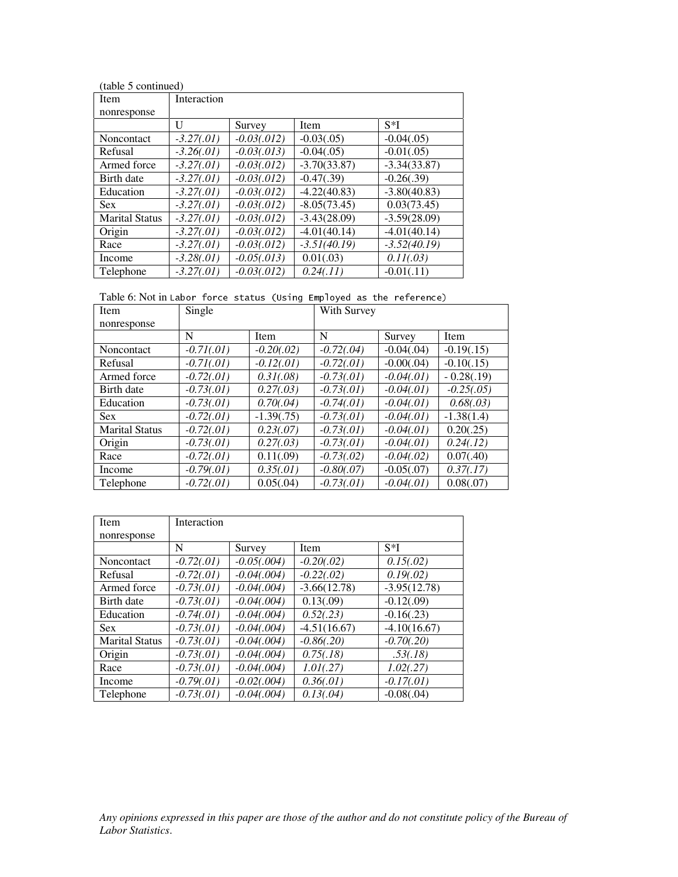| (table 5 continued)   |              |               |                |                |
|-----------------------|--------------|---------------|----------------|----------------|
| Item                  | Interaction  |               |                |                |
| nonresponse           |              |               |                |                |
|                       | U            | Survey        | <b>Item</b>    | $S*I$          |
| Noncontact            | $-3.27(01)$  | $-0.03(.012)$ | $-0.03(.05)$   | $-0.04(.05)$   |
| Refusal               | $-3.26(.01)$ | $-0.03(.013)$ | $-0.04(.05)$   | $-0.01(.05)$   |
| Armed force           | $-3.27(.01)$ | $-0.03(.012)$ | $-3.70(33.87)$ | $-3.34(33.87)$ |
| Birth date            | $-3.27(.01)$ | $-0.03(.012)$ | $-0.47(.39)$   | $-0.26(.39)$   |
| Education             | $-3.27(.01)$ | $-0.03(.012)$ | $-4.22(40.83)$ | $-3.80(40.83)$ |
| <b>Sex</b>            | $-3.27(.01)$ | $-0.03(.012)$ | $-8.05(73.45)$ | 0.03(73.45)    |
| <b>Marital Status</b> | $-3.27(.01)$ | $-0.03(.012)$ | $-3.43(28.09)$ | $-3.59(28.09)$ |
| Origin                | $-3.27(.01)$ | $-0.03(.012)$ | $-4.01(40.14)$ | $-4.01(40.14)$ |
| Race                  | $-3.27(.01)$ | $-0.03(.012)$ | $-3.51(40.19)$ | $-3.52(40.19)$ |
| Income                | $-3.28(.01)$ | $-0.05(.013)$ | 0.01(.03)      | 0.11(.03)      |
| Telephone             | $-3.27(01)$  | $-0.03(.012)$ | 0.24(.11)      | $-0.01(0.11)$  |

Table 6: Not in Labor force status (Using Employed as the reference)

| Item                  | Single       |               | With Survey  |              |               |  |
|-----------------------|--------------|---------------|--------------|--------------|---------------|--|
| nonresponse           |              |               |              |              |               |  |
|                       | N            | <b>Item</b>   | N            | Survey       | Item          |  |
| <b>Noncontact</b>     | $-0.71(01)$  | $-0.20(.02)$  | $-0.72(.04)$ | $-0.04(.04)$ | $-0.19(0.15)$ |  |
| Refusal               | $-0.71(01)$  | $-0.12(.01)$  | $-0.72(.01)$ | $-0.00(.04)$ | $-0.10(.15)$  |  |
| Armed force           | $-0.72(.01)$ | 0.31(.08)     | $-0.73(01)$  | $-0.04(.01)$ | $-0.28(0.19)$ |  |
| Birth date            | $-0.73(.01)$ | 0.27(.03)     | $-0.73(01)$  | $-0.04(01)$  | $-0.25(.05)$  |  |
| Education             | $-0.73(.01)$ | 0.70(.04)     | $-0.74(01)$  | $-0.04(.01)$ | 0.68(.03)     |  |
| <b>Sex</b>            | $-0.72(.01)$ | $-1.39(0.75)$ | $-0.73(01)$  | $-0.04(01)$  | $-1.38(1.4)$  |  |
| <b>Marital Status</b> | $-0.72(.01)$ | 0.23(.07)     | $-0.73(01)$  | $-0.04(.01)$ | 0.20(.25)     |  |
| Origin                | $-0.73(01)$  | 0.27(.03)     | $-0.73(.01)$ | $-0.04(.01)$ | 0.24(.12)     |  |
| Race                  | $-0.72(.01)$ | 0.11(.09)     | $-0.73(.02)$ | $-0.04(.02)$ | 0.07(.40)     |  |
| Income                | $-0.79(.01)$ | 0.35(.01)     | $-0.80(.07)$ | $-0.05(.07)$ | 0.37(.17)     |  |
| Telephone             | $-0.72(.01)$ | 0.05(.04)     | $-0.73(01)$  | $-0.04(.01)$ | 0.08(.07)     |  |

| Item<br>nonresponse                                                                                     | Single                       |                                |      | With Survey                  |                                |                       |
|---------------------------------------------------------------------------------------------------------|------------------------------|--------------------------------|------|------------------------------|--------------------------------|-----------------------|
| Noncontact                                                                                              | ${\bf N}$<br>$-0.71(01)$     | Item<br>$-0.20(.02)$           |      | $\mathbf N$<br>$-0.72(.04)$  | Survey<br>$-0.04(.04)$         | Iten<br>$-0.1$        |
| Refusal<br>Armed force                                                                                  | $-0.71(01)$<br>$-0.72(01)$   | $-0.12(.01)$<br>0.31(.08)      |      | $-0.72(.01)$<br>$-0.73(.01)$ | $-0.00(.04)$<br>$-0.04(.01)$   | $-0.1$<br>$-0.2$      |
| Birth date<br>Education                                                                                 | $-0.73(01)$<br>$-0.73(.01)$  | 0.27(.03)<br>0.70(.04)         |      | $-0.73(.01)$<br>$-0.74(.01)$ | $-0.04(.01)$<br>$-0.04(.01)$   | $-0.2$<br>0.6         |
| Sex<br><b>Marital Status</b>                                                                            | $-0.72(01)$<br>$-0.72(.01)$  | $-1.39(0.75)$<br>0.23(.07)     |      | $-0.73(.01)$<br>$-0.73(.01)$ | $-0.04(.01)$<br>$-0.04(.01)$   | $-1.3$<br>0.20        |
| Origin<br>Race                                                                                          | $-0.73(.01)$<br>$-0.72(01)$  | 0.27(.03)<br>0.11(.09)         |      | $-0.73(.01)$<br>$-0.73(.02)$ | $-0.04(.01)$<br>$-0.04(.02)$   | 0.24<br>$0.0^{\circ}$ |
| Income                                                                                                  | $-0.79(.01)$                 | 0.35(.01)                      |      | $-0.80(.07)$                 | $-0.05(.07)$                   | $0.3^{\circ}$         |
| Telephone                                                                                               | $-0.72(.01)$                 | 0.05(.04)                      |      | $-0.73(.01)$                 | $-0.04(.01)$                   | 0.0                   |
| Item<br>nonresponse                                                                                     | Interaction                  |                                |      |                              |                                |                       |
| Noncontact                                                                                              | ${\bf N}$<br>$-0.72(.01)$    | Survey<br>$-0.05(.004)$        | Item | $-0.20(.02)$                 | S*I<br>0.15(.02)               |                       |
| Refusal                                                                                                 | $-0.72(.01)$                 | $-0.04(.004)$                  |      | $-0.22(.02)$                 | 0.19(.02)                      |                       |
| Armed force<br>Birth date                                                                               | $-0.73(.01)$<br>$-0.73(.01)$ | $-0.04(.004)$<br>$-0.04(.004)$ |      | $-3.66(12.78)$<br>0.13(.09)  | $-3.95(12.78)$<br>$-0.12(.09)$ |                       |
| Education<br>Sex                                                                                        | $-0.74(01)$<br>$-0.73(.01)$  | $-0.04(.004)$<br>$-0.04(.004)$ |      | 0.52(.23)<br>$-4.51(16.67)$  | $-0.16(.23)$<br>$-4.10(16.67)$ |                       |
| <b>Marital Status</b><br>Origin                                                                         | $-0.73(.01)$<br>$-0.73(.01)$ | $-0.04(.004)$<br>$-0.04(.004)$ |      | $-0.86(.20)$<br>0.75(.18)    | $-0.70(.20)$<br>.53(.18)       |                       |
| Race<br>Income                                                                                          | $-0.73(.01)$<br>$-0.79(.01)$ | $-0.04(.004)$<br>$-0.02(.004)$ |      | 1.01(.27)<br>0.36(.01)       | 1.02(.27)<br>$-0.17(.01)$      |                       |
| Telephone                                                                                               | $-0.73(.01)$                 | $-0.04(.004)$                  |      | 0.13(.04)                    | $-0.08(.04)$                   |                       |
|                                                                                                         |                              |                                |      |                              |                                |                       |
|                                                                                                         |                              |                                |      |                              |                                |                       |
|                                                                                                         |                              |                                |      |                              |                                |                       |
|                                                                                                         |                              |                                |      |                              |                                |                       |
| Any opinions expressed in this paper are those of the author and do not constitute<br>Labor Statistics. |                              |                                |      |                              |                                |                       |
|                                                                                                         |                              |                                |      |                              |                                |                       |
|                                                                                                         |                              |                                |      |                              |                                |                       |
|                                                                                                         |                              |                                |      |                              |                                |                       |
|                                                                                                         |                              |                                |      |                              |                                |                       |
|                                                                                                         |                              |                                |      |                              |                                |                       |
|                                                                                                         |                              |                                |      |                              |                                |                       |
|                                                                                                         |                              |                                |      |                              |                                |                       |
|                                                                                                         |                              |                                |      |                              |                                |                       |
|                                                                                                         |                              |                                |      |                              |                                |                       |
|                                                                                                         |                              |                                |      |                              |                                |                       |
|                                                                                                         |                              |                                |      |                              |                                |                       |
|                                                                                                         |                              |                                |      |                              |                                |                       |
|                                                                                                         |                              |                                |      |                              |                                |                       |
|                                                                                                         |                              |                                |      |                              |                                |                       |
|                                                                                                         |                              |                                |      |                              |                                |                       |
|                                                                                                         |                              |                                |      |                              |                                |                       |
|                                                                                                         |                              |                                |      |                              |                                |                       |
|                                                                                                         |                              |                                |      |                              |                                |                       |
|                                                                                                         |                              |                                |      |                              |                                |                       |
|                                                                                                         |                              |                                |      |                              |                                |                       |
|                                                                                                         |                              |                                |      |                              |                                |                       |
|                                                                                                         |                              |                                |      |                              |                                |                       |
|                                                                                                         |                              |                                |      |                              |                                |                       |
|                                                                                                         |                              |                                |      |                              |                                |                       |
|                                                                                                         |                              |                                |      |                              |                                |                       |
|                                                                                                         |                              |                                |      |                              |                                |                       |
|                                                                                                         |                              |                                |      |                              |                                |                       |
|                                                                                                         |                              |                                |      |                              |                                |                       |
|                                                                                                         |                              |                                |      |                              |                                |                       |
|                                                                                                         |                              |                                |      |                              |                                |                       |
|                                                                                                         |                              |                                |      |                              |                                |                       |
|                                                                                                         |                              |                                |      |                              |                                |                       |
|                                                                                                         |                              |                                |      |                              |                                |                       |
|                                                                                                         |                              |                                |      |                              |                                |                       |
|                                                                                                         |                              |                                |      |                              |                                |                       |
|                                                                                                         |                              |                                |      |                              |                                |                       |
|                                                                                                         |                              |                                |      |                              |                                |                       |
|                                                                                                         |                              |                                |      |                              |                                |                       |
|                                                                                                         |                              |                                |      |                              |                                |                       |
|                                                                                                         |                              |                                |      |                              |                                |                       |
|                                                                                                         |                              |                                |      |                              |                                |                       |
|                                                                                                         |                              |                                |      |                              |                                |                       |
|                                                                                                         |                              |                                |      |                              |                                |                       |
|                                                                                                         |                              |                                |      |                              |                                |                       |
|                                                                                                         |                              |                                |      |                              |                                |                       |
|                                                                                                         |                              |                                |      |                              |                                |                       |
|                                                                                                         |                              |                                |      |                              |                                |                       |
|                                                                                                         |                              |                                |      |                              |                                |                       |
|                                                                                                         |                              |                                |      |                              |                                |                       |
|                                                                                                         |                              |                                |      |                              |                                |                       |
|                                                                                                         |                              |                                |      |                              |                                |                       |